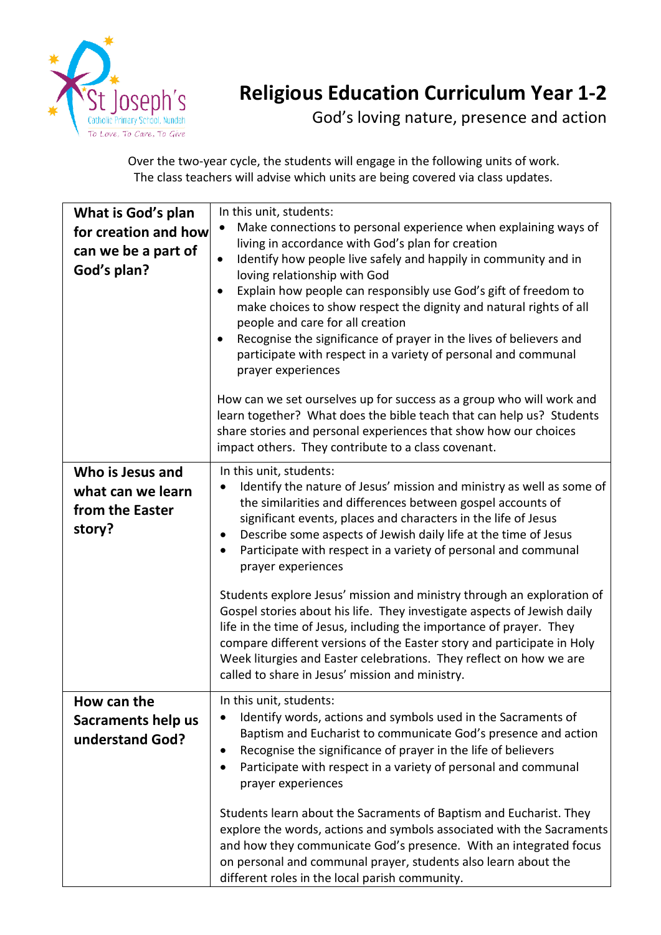

## **Religious Education Curriculum Year 1-2**

God's loving nature, presence and action

Over the two-year cycle, the students will engage in the following units of work. The class teachers will advise which units are being covered via class updates.

| What is God's plan<br>for creation and how<br>can we be a part of<br>God's plan? | In this unit, students:<br>Make connections to personal experience when explaining ways of<br>living in accordance with God's plan for creation<br>Identify how people live safely and happily in community and in<br>$\bullet$<br>loving relationship with God<br>Explain how people can responsibly use God's gift of freedom to<br>$\bullet$<br>make choices to show respect the dignity and natural rights of all<br>people and care for all creation<br>Recognise the significance of prayer in the lives of believers and<br>$\bullet$<br>participate with respect in a variety of personal and communal<br>prayer experiences                                                                                                                                                                                                     |
|----------------------------------------------------------------------------------|------------------------------------------------------------------------------------------------------------------------------------------------------------------------------------------------------------------------------------------------------------------------------------------------------------------------------------------------------------------------------------------------------------------------------------------------------------------------------------------------------------------------------------------------------------------------------------------------------------------------------------------------------------------------------------------------------------------------------------------------------------------------------------------------------------------------------------------|
|                                                                                  | How can we set ourselves up for success as a group who will work and<br>learn together? What does the bible teach that can help us? Students<br>share stories and personal experiences that show how our choices<br>impact others. They contribute to a class covenant.                                                                                                                                                                                                                                                                                                                                                                                                                                                                                                                                                                  |
| Who is Jesus and<br>what can we learn<br>from the Easter<br>story?               | In this unit, students:<br>Identify the nature of Jesus' mission and ministry as well as some of<br>the similarities and differences between gospel accounts of<br>significant events, places and characters in the life of Jesus<br>Describe some aspects of Jewish daily life at the time of Jesus<br>$\bullet$<br>Participate with respect in a variety of personal and communal<br>prayer experiences<br>Students explore Jesus' mission and ministry through an exploration of<br>Gospel stories about his life. They investigate aspects of Jewish daily<br>life in the time of Jesus, including the importance of prayer. They<br>compare different versions of the Easter story and participate in Holy<br>Week liturgies and Easter celebrations. They reflect on how we are<br>called to share in Jesus' mission and ministry. |
| How can the<br>Sacraments help us<br>understand God?                             | In this unit, students:<br>Identify words, actions and symbols used in the Sacraments of<br>Baptism and Eucharist to communicate God's presence and action<br>Recognise the significance of prayer in the life of believers<br>Participate with respect in a variety of personal and communal<br>prayer experiences<br>Students learn about the Sacraments of Baptism and Eucharist. They<br>explore the words, actions and symbols associated with the Sacraments<br>and how they communicate God's presence. With an integrated focus<br>on personal and communal prayer, students also learn about the<br>different roles in the local parish community.                                                                                                                                                                              |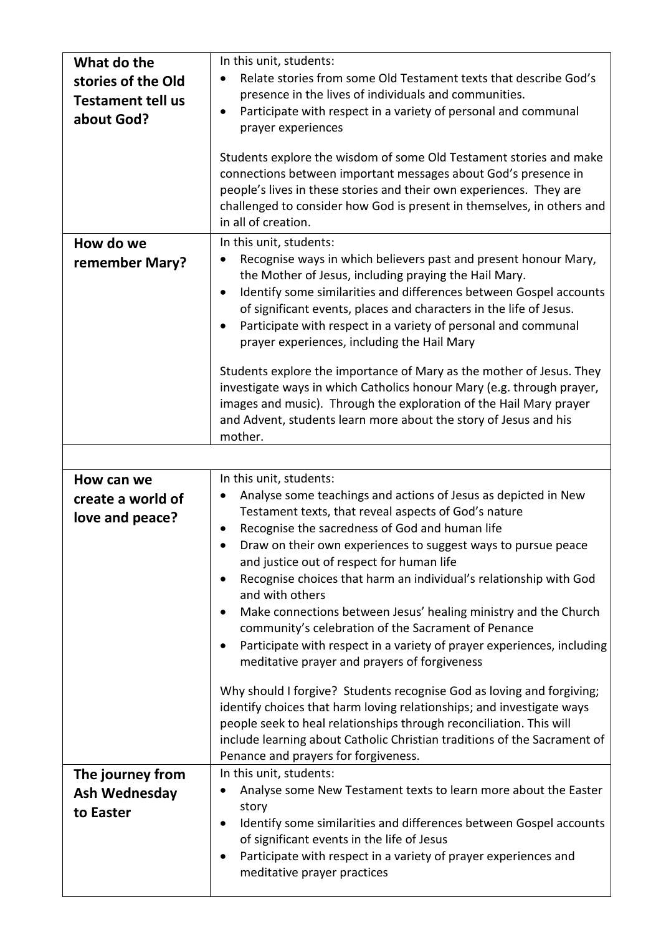| What do the<br>stories of the Old<br><b>Testament tell us</b><br>about God? | In this unit, students:<br>Relate stories from some Old Testament texts that describe God's<br>presence in the lives of individuals and communities.<br>Participate with respect in a variety of personal and communal<br>prayer experiences<br>Students explore the wisdom of some Old Testament stories and make<br>connections between important messages about God's presence in<br>people's lives in these stories and their own experiences. They are<br>challenged to consider how God is present in themselves, in others and<br>in all of creation.                                                                                                                                                                                                                                                                                                                                                                                                                                               |
|-----------------------------------------------------------------------------|------------------------------------------------------------------------------------------------------------------------------------------------------------------------------------------------------------------------------------------------------------------------------------------------------------------------------------------------------------------------------------------------------------------------------------------------------------------------------------------------------------------------------------------------------------------------------------------------------------------------------------------------------------------------------------------------------------------------------------------------------------------------------------------------------------------------------------------------------------------------------------------------------------------------------------------------------------------------------------------------------------|
| How do we<br>remember Mary?                                                 | In this unit, students:<br>Recognise ways in which believers past and present honour Mary,<br>the Mother of Jesus, including praying the Hail Mary.<br>Identify some similarities and differences between Gospel accounts<br>٠<br>of significant events, places and characters in the life of Jesus.<br>Participate with respect in a variety of personal and communal<br>$\bullet$<br>prayer experiences, including the Hail Mary<br>Students explore the importance of Mary as the mother of Jesus. They<br>investigate ways in which Catholics honour Mary (e.g. through prayer,<br>images and music). Through the exploration of the Hail Mary prayer<br>and Advent, students learn more about the story of Jesus and his<br>mother.                                                                                                                                                                                                                                                                   |
| How can we<br>create a world of<br>love and peace?                          | In this unit, students:<br>Analyse some teachings and actions of Jesus as depicted in New<br>Testament texts, that reveal aspects of God's nature<br>Recognise the sacredness of God and human life<br>Draw on their own experiences to suggest ways to pursue peace<br>and justice out of respect for human life<br>Recognise choices that harm an individual's relationship with God<br>and with others<br>Make connections between Jesus' healing ministry and the Church<br>community's celebration of the Sacrament of Penance<br>Participate with respect in a variety of prayer experiences, including<br>meditative prayer and prayers of forgiveness<br>Why should I forgive? Students recognise God as loving and forgiving;<br>identify choices that harm loving relationships; and investigate ways<br>people seek to heal relationships through reconciliation. This will<br>include learning about Catholic Christian traditions of the Sacrament of<br>Penance and prayers for forgiveness. |
| The journey from<br><b>Ash Wednesday</b><br>to Easter                       | In this unit, students:<br>Analyse some New Testament texts to learn more about the Easter<br>story<br>Identify some similarities and differences between Gospel accounts<br>of significant events in the life of Jesus<br>Participate with respect in a variety of prayer experiences and<br>meditative prayer practices                                                                                                                                                                                                                                                                                                                                                                                                                                                                                                                                                                                                                                                                                  |